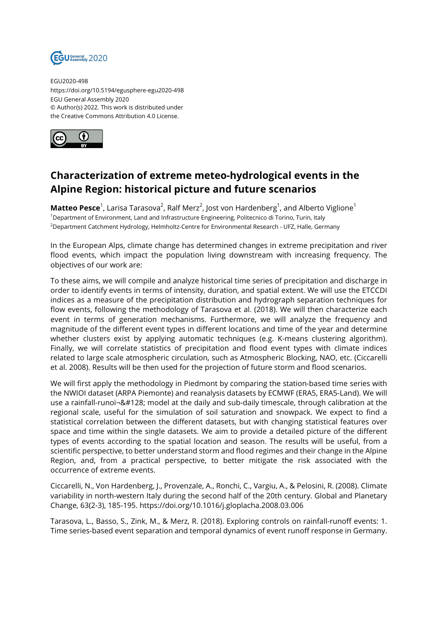

EGU2020-498 https://doi.org/10.5194/egusphere-egu2020-498 EGU General Assembly 2020 © Author(s) 2022. This work is distributed under the Creative Commons Attribution 4.0 License.



## **Characterization of extreme meteo-hydrological events in the Alpine Region: historical picture and future scenarios**

**Matteo Pesce**<sup>1</sup>, Larisa Tarasova<sup>2</sup>, Ralf Merz<sup>2</sup>, Jost von Hardenberg<sup>1</sup>, and Alberto Viglione<sup>1</sup> <sup>1</sup>Department of Environment, Land and Infrastructure Engineering, Politecnico di Torino, Turin, Italy <sup>2</sup>Department Catchment Hydrology, Helmholtz-Centre for Environmental Research - UFZ, Halle, Germany

In the European Alps, climate change has determined changes in extreme precipitation and river flood events, which impact the population living downstream with increasing frequency. The objectives of our work are:

To these aims, we will compile and analyze historical time series of precipitation and discharge in order to identify events in terms of intensity, duration, and spatial extent. We will use the ETCCDI indices as a measure of the precipitation distribution and hydrograph separation techniques for flow events, following the methodology of Tarasova et al. (2018). We will then characterize each event in terms of generation mechanisms. Furthermore, we will analyze the frequency and magnitude of the different event types in different locations and time of the year and determine whether clusters exist by applying automatic techniques (e.g. K-means clustering algorithm). Finally, we will correlate statistics of precipitation and flood event types with climate indices related to large scale atmospheric circulation, such as Atmospheric Blocking, NAO, etc. (Ciccarelli et al. 2008). Results will be then used for the projection of future storm and flood scenarios.

We will first apply the methodology in Piedmont by comparing the station-based time series with the NWIOI dataset (ARPA Piemonte) and reanalysis datasets by ECMWF (ERA5, ERA5-Land). We will use a rainfall-runoï-€ model at the daily and sub-daily timescale, through calibration at the regional scale, useful for the simulation of soil saturation and snowpack. We expect to find a statistical correlation between the different datasets, but with changing statistical features over space and time within the single datasets. We aim to provide a detailed picture of the different types of events according to the spatial location and season. The results will be useful, from a scientific perspective, to better understand storm and flood regimes and their change in the Alpine Region, and, from a practical perspective, to better mitigate the risk associated with the occurrence of extreme events.

Ciccarelli, N., Von Hardenberg, J., Provenzale, A., Ronchi, C., Vargiu, A., & Pelosini, R. (2008). Climate variability in north-western Italy during the second half of the 20th century. Global and Planetary Change, 63(2-3), 185-195. https://doi.org/10.1016/j.gloplacha.2008.03.006

Tarasova, L., Basso, S., Zink, M., & Merz, R. (2018). Exploring controls on rainfall-runoff events: 1. Time series-based event separation and temporal dynamics of event runoff response in Germany.